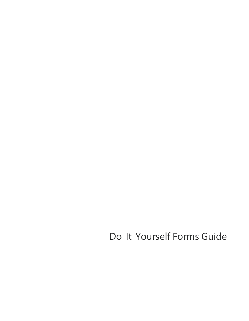Do-It-Yourself Forms Guide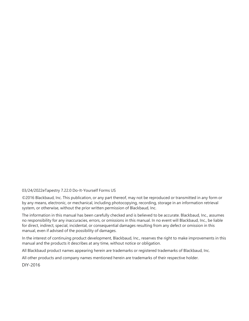#### 03/24/2022eTapestry 7.22.0 Do-It-Yourself Forms US

©2016 Blackbaud, Inc. This publication, or any part thereof, may not be reproduced or transmitted in any form or by any means, electronic, or mechanical, including photocopying, recording, storage in an information retrieval system, or otherwise, without the prior written permission of Blackbaud, Inc.

The information in this manual has been carefully checked and is believed to be accurate. Blackbaud, Inc., assumes no responsibility for any inaccuracies, errors, or omissions in this manual. In no event will Blackbaud, Inc., be liable for direct, indirect, special, incidental, or consequential damages resulting from any defect or omission in this manual, even if advised of the possibility of damages.

In the interest of continuing product development, Blackbaud, Inc., reserves the right to make improvements in this manual and the products it describes at any time, without notice or obligation.

All Blackbaud product names appearing herein are trademarks or registered trademarks of Blackbaud, Inc.

All other products and company names mentioned herein are trademarks of their respective holder.

DIY-2016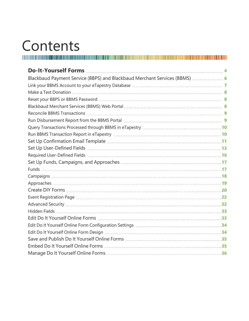# Contents

| Blackbaud Payment Service (BBPS) and Blackbaud Merchant Services (BBMS)  6 |  |
|----------------------------------------------------------------------------|--|
|                                                                            |  |
|                                                                            |  |
|                                                                            |  |
|                                                                            |  |
|                                                                            |  |
|                                                                            |  |
|                                                                            |  |
|                                                                            |  |
|                                                                            |  |
|                                                                            |  |
|                                                                            |  |
|                                                                            |  |
|                                                                            |  |
|                                                                            |  |
|                                                                            |  |
|                                                                            |  |
|                                                                            |  |
|                                                                            |  |
|                                                                            |  |
|                                                                            |  |
|                                                                            |  |
|                                                                            |  |
|                                                                            |  |
|                                                                            |  |
|                                                                            |  |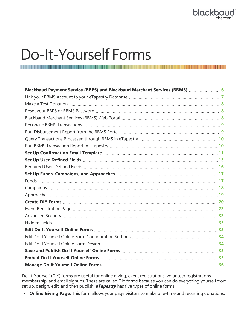# <span id="page-3-0"></span>Do-It-Yourself Forms

| Blackbaud Payment Service (BBPS) and Blackbaud Merchant Services (BBMS)  6    |  |
|-------------------------------------------------------------------------------|--|
|                                                                               |  |
|                                                                               |  |
|                                                                               |  |
|                                                                               |  |
|                                                                               |  |
|                                                                               |  |
|                                                                               |  |
|                                                                               |  |
|                                                                               |  |
| Set Up User-Defined Fields <b>Manual Excess Set Up User-Defined Fields</b> 13 |  |
|                                                                               |  |
|                                                                               |  |
|                                                                               |  |
|                                                                               |  |
|                                                                               |  |
|                                                                               |  |
|                                                                               |  |
|                                                                               |  |
|                                                                               |  |
|                                                                               |  |
|                                                                               |  |
|                                                                               |  |
|                                                                               |  |
|                                                                               |  |
|                                                                               |  |

Do-It-Yourself (DIY) forms are useful for online giving, event registrations, volunteer registrations, membership, and email signups. These are called DIY forms because you can do everything yourself from set up, design, edit, and then publish. *eTapestry* has five types of online forms.

• **Online Giving Page:** This form allows your page visitors to make one-time and recurring donations.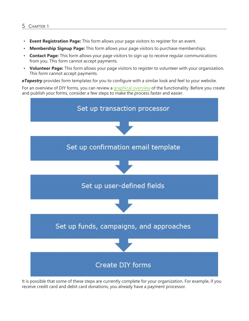#### 5 CHAPTER 1

- **Event Registration Page:** This form allows your page visitors to register for an event.
- **Membership Signup Page:** This form allows your page visitors to purchase memberships.
- **Contact Page:** This form allows your page visitors to sign up to receive regular communications from you. This form cannot accept payments.
- **Volunteer Page:** This form allows your page visitors to register to volunteer with your organization. This form cannot accept payments.

*eTapestry* provides form templates for you to configure with a similar look and feel to your website.

For an overview of DIY forms, you can review a [graphical](https://www.blackbaud.com/files/support/helpfiles/etapestry/etappages/DIY/home.htm) overview of the functionality. Before you create and publish your forms, consider a few steps to make the process faster and easier.



It is possible that some of these steps are currently complete for your organization. For example, if you receive credit card and debit card donations, you already have a payment processor.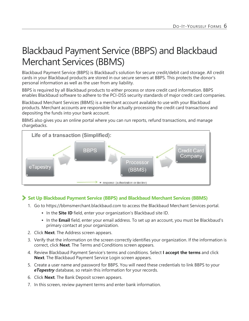# <span id="page-5-0"></span>Blackbaud Payment Service (BBPS) and Blackbaud Merchant Services (BBMS)

Blackbaud Payment Service (BBPS) is Blackbaud's solution for secure credit/debit card storage. All credit cards in your Blackbaud products are stored in our secure servers at BBPS. This protects the donor's personal information as well as the user from any liability.

BBPS is required by all Blackbaud products to either process or store credit card information. BBPS enables Blackbaud software to adhere to the PCI-DSS security standards of major credit card companies.

Blackbaud Merchant Services (BBMS) is a merchant account available to use with your Blackbaud products. Merchant accounts are responsible for actually processing the credit card transactions and depositing the funds into your bank account.

BBMS also gives you an online portal where you can run reports, refund transactions, and manage chargebacks.



#### **Set Up Blackbaud Payment Service (BBPS) and Blackbaud Merchant Services (BBMS)**

- 1. Go to https://bbmsmerchant.blackbaud.com to access the Blackbaud Merchant Services portal.
	- **In the Site ID** field, enter your organization's Blackbaud site ID.
	- In the **Email** field, enter your email address. To set up an account, you must be Blackbaud's primary contact at your organization.
- 2. Click **Next**. The Address screen appears.
- 3. Verify that the information on the screen correctly identifies your organization. If the information is correct, click **Next**. The Terms and Conditions screen appears.
- 4. Review Blackbaud Payment Service's terms and conditions. Select **I accept the terms** and click **Next**. The Blackbaud Payment Service Login screen appears.
- 5. Create a user name and password for BBPS. You will need these credentials to link BBPS to your *eTapestry* database, so retain this information for your records.
- 6. Click **Next**. The Bank Deposit screen appears.
- 7. In this screen, review payment terms and enter bank information.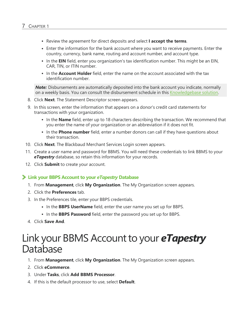- <sup>l</sup> Review the agreement for direct deposits and select **I accept the terms**.
- Enter the information for the bank account where you want to receive payments. Enter the country, currency, bank name, routing and account number, and account type.
- In the **EIN** field, enter you organization's tax identification number. This might be an EIN, CAR, TIN, or ITIN number.
- In the **Account Holder** field, enter the name on the account associated with the tax identification number.

**Note:** Disbursements are automatically deposited into the bank account you indicate, normally on a weekly basis. You can consult the disbursement schedule in this [Knowledgebase](https://kb.blackbaud.com/articles/Article/57071) solution.

- 8. Click **Next**. The Statement Descriptor screen appears.
- 9. In this screen, enter the information that appears on a donor's credit card statements for transactions with your organization.
	- In the **Name** field, enter up to 18 characters describing the transaction. We recommend that you enter the name of your organization or an abbreviation if it does not fit.
	- In the **Phone number** field, enter a number donors can call if they have questions about their transaction.
- 10. Click **Next**. The Blackbaud Merchant Services Login screen appears.
- 11. Create a user name and password for BBMS. You will need these credentials to link BBMS to your *eTapestry* database, so retain this information for your records.
- <span id="page-6-1"></span>12. Click **Submit** to create your account.

#### **Link your BBPS Account to your** *eTapestry* **Database**

- 1. From **Management**, click **My Organization**. The My Organization screen appears.
- 2. Click the **Preferences** tab.
- 3. In the Preferences tile, enter your BBPS credentials.
	- In the **BBPS UserName** field, enter the user name you set up for BBPS.
	- In the **BBPS Password** field, enter the password you set up for BBPS.
- <span id="page-6-0"></span>4. Click **Save And**.

# Link your BBMS Account to your *eTapestry* Database

- 1. From **Management**, click **My Organization**. The My Organization screen appears.
- 2. Click **eCommerce**.
- 3. Under **Tasks**, click **Add BBMS Processor**.
- 4. If this is the default processor to use, select **Default**.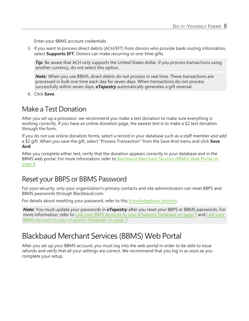Enter your BBMS account credentials.

5. If you want to process direct debits (ACH/EFT) from donors who provide bank routing information, select **Supports EFT**. Donors can make recurring or one-time gifts.

*Tip:* Be aware that ACH only supports the United States dollar. If you process transactions using another currency, do not select this option.

*Note:* When you use BBMS, direct debits do not process in real time. These transactions are processed in bulk one time each day for seven days. When transactions do not process successfully within seven days, *eTapestry* automatically generates a gift reversal.

6. Click **Save**.

### <span id="page-7-0"></span>Make a Test Donation

After you set up a processor, we recommend you make a test donation to make sure everything is working correctly. If you have an online donation page, the easiest test is to make a \$2 test donation through the form.

If you do not use online donation forms, select a record in your database such as a staff member and add a \$2 gift. When you save the gift, select "Process Transaction" from the Save And menu and click **Save And**.

After you complete either test, verify that the donation appears correctly in your database and in the BBMS web portal. For more information, refer to [Blackbaud](#page-7-2) Merchant Services (BBMS) Web Portal on [page](#page-7-2) 8.

### <span id="page-7-1"></span>Reset your BBPS or BBMS Password

For your security, only your organization's primary contacts and site administrators can reset BBPS and BBMS passwords through Blackbaud.com.

For details about resetting your password, refer to this [Knowledgebase](https://kb.blackbaud.com/articles/Article/49655) solution.

*Note:* You must update your passwords in *eTapestry* after you reset your BBPS or BBMS passwords. For more information, refer to Link your BBPS Account to your [eTapestry](#page-6-1) Database on page 7 and Link [your](#page-6-0) BBMS Account to your [eTapestry](#page-6-0) Database on page 7.

### <span id="page-7-2"></span>Blackbaud Merchant Services (BBMS) Web Portal

After you set up your BBMS account, you must log into the web portal in order to be able to issue refunds and verify that all your settings are correct. We recommend that you log in as soon as you complete your setup.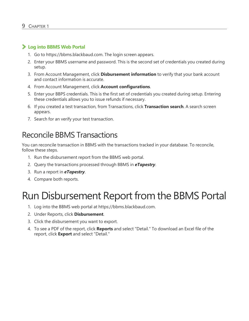#### **Log into BBMS Web Portal**

- 1. Go to https://bbms.blackbaud.com. The login screen appears.
- 2. Enter your BBMS username and password. This is the second set of credentials you created during setup.
- 3. From Account Management, click **Disbursement information** to verify that your bank account and contact information is accurate.
- 4. From Account Management, click **Account configurations**.
- 5. Enter your BBPS credentials. This is the first set of credentials you created during setup. Entering these credentials allows you to issue refunds if necessary.
- 6. If you created a test transaction, from Transactions, click **Transaction search**. A search screen appears.
- <span id="page-8-0"></span>7. Search for an verify your test transaction.

### Reconcile BBMS Transactions

You can reconcile transaction in BBMS with the transactions tracked in your database. To reconcile, follow these steps.

- 1. Run the disbursement report from the BBMS web portal.
- 2. Query the transactions processed through BBMS in *eTapestry*.
- 3. Run a report in *eTapestry*.
- <span id="page-8-1"></span>4. Compare both reports.

# Run Disbursement Report from the BBMS Portal

- 1. Log into the BBMS web portal at https://bbms.blackbaud.com.
- 2. Under Reports, click **Disbursement**.
- 3. Click the disbursement you want to export.
- 4. To see a PDF of the report, click **Reports** and select "Detail." To download an Excel file of the report, click **Export** and select "Detail."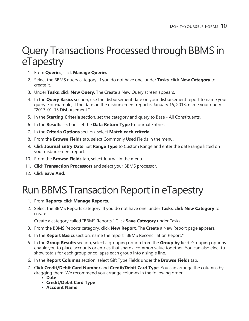# <span id="page-9-0"></span>Query Transactions Processed through BBMS in eTapestry

- 1. From **Queries**, click **Manage Queries**.
- 2. Select the BBMS query category. If you do not have one, under **Tasks**, click **New Category** to create it.
- 3. Under **Tasks**, click **New Query**. The Create a New Query screen appears.
- 4. In the **Query Basics** section, use the disbursement date on your disbursement report to name your query. For example, if the date on the disbursement report is January 15, 2013, name your query "2013-01-15 Disbursement."
- 5. In the **Starting Criteria** section, set the category and query to Base All Constituents.
- 6. In the **Results** section, set the **Data Return Type** to Journal Entries.
- 7. In the **Criteria Options** section, select **Match each criteria**.
- 8. From the **Browse Fields** tab, select Commonly Used Fields in the menu.
- 9. Click **Journal Entry Date**. Set **Range Type** to Custom Range and enter the date range listed on your disbursement report.
- 10. From the **Browse Fields** tab, select Journal in the menu.
- 11. Click **Transaction Processors** and select your BBMS processor.
- <span id="page-9-1"></span>12. Click **Save And**.

# Run BBMS Transaction Report in eTapestry

- 1. From **Reports**, click **Manage Reports**.
- 2. Select the BBMS Reports category. If you do not have one, under **Tasks**, click **New Category** to create it.

Create a category called "BBMS Reports." Click **Save Category** under Tasks.

- 3. From the BBMS Reports category, click **New Report**. The Create a New Report page appears.
- 4. In the **Report Basics** section, name the report "BBMS Reconciliation Report."
- 5. In the **Group Results** section, select a grouping option from the **Group by** field. Grouping options enable you to place accounts or entries that share a common value together. You can also elect to show totals for each group or collapse each group into a single line.
- 6. In the **Report Columns** section, select Gift Type Fields under the **Browse Fields** tab.
- 7. Click **Credit/Debit Card Number** and **Credit/Debit Card Type**. You can arrange the columns by dragging them. We recommend you arrange columns in the following order:
	- Date
	- <sup>l</sup> **Credit/Debit Card Type**
	- <sup>l</sup> **Account Name**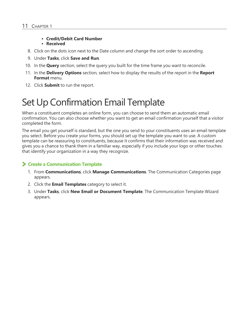#### <sup>l</sup> **Credit/Debit Card Number**

#### **•** Received

- 8. Click on the dots icon next to the Date column and change the sort order to ascending.
- 9. Under **Tasks**, click **Save and Run**.
- 10. In the **Query** section, select the query you built for the time frame you want to reconcile.
- 11. In the **Delivery Options** section, select how to display the results of the report in the **Report Format** menu.
- <span id="page-10-0"></span>12. Click **Submit** to run the report.

# Set Up Confirmation Email Template

When a constituent completes an online form, you can choose to send them an automatic email confirmation. You can also choose whether you want to get an email confirmation yourself that a visitor completed the form.

The email you get yourself is standard, but the one you send to your constituents uses an email template you select. Before you create your forms, you should set up the template you want to use. A custom template can be reassuring to constituents, because it confirms that their information was received and gives you a chance to thank them in a familiar way, especially if you include your logo or other touches that identify your organization in a way they recognize.

#### **Create a Communication Template**

- 1. From **Communications**, click **Manage Communications**. The Communication Categories page appears.
- 2. Click the **Email Templates** category to select it.
- 3. Under **Tasks**, click **New Email or Document Template**. The Communication Template Wizard appears.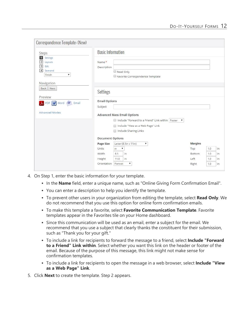| Correspondence Template: (New)                                                                                             |                                                                                                                                                                                    |        |           |  |  |
|----------------------------------------------------------------------------------------------------------------------------|------------------------------------------------------------------------------------------------------------------------------------------------------------------------------------|--------|-----------|--|--|
| <b>Steps</b>                                                                                                               | <b>Basic Information</b>                                                                                                                                                           |        |           |  |  |
| Settings<br>$\vert$ 1<br>Layouts<br>$\overline{2}$<br>3<br>Edit<br>$\overline{4}$<br>Save and<br>Finish<br>۷<br>Navigation | Name *<br>Description<br>Read Only<br>Favorite Correspondence Template                                                                                                             |        |           |  |  |
| <b>Back</b><br>Next                                                                                                        | <b>Settings</b>                                                                                                                                                                    |        |           |  |  |
| Preview<br>L PDF W Word 4 Email                                                                                            | <b>Email Options</b><br>Subject                                                                                                                                                    |        |           |  |  |
| <b>Advanced Modes</b>                                                                                                      | <b>Advanced Mass Email Options</b>                                                                                                                                                 |        |           |  |  |
|                                                                                                                            | Include "Forward to a Friend" Link within   Footer<br>$\Box$<br>$\boldsymbol{\mathrm{v}}$<br>Include "View as a Web Page" Link<br>$\Box$<br><b>Include Sharing Links</b><br>$\Box$ |        |           |  |  |
| <b>Document Options</b><br>Letter (8.5in x 11in)<br><b>Margins</b><br><b>Page Size</b><br>$\pmb{\nabla}$                   |                                                                                                                                                                                    |        |           |  |  |
|                                                                                                                            | Units<br>in<br>▼                                                                                                                                                                   | Top    | 1.0<br>in |  |  |
|                                                                                                                            | Width<br>8.5<br>in                                                                                                                                                                 | Bottom | 1.0<br>in |  |  |
|                                                                                                                            | 11.0<br>Height<br>in                                                                                                                                                               | Left   | 1.0<br>in |  |  |
|                                                                                                                            | Orientation<br>Portrait<br>▼                                                                                                                                                       | Right  | 1.0<br>in |  |  |

- 4. On Step 1, enter the basic information for your template.
	- In the **Name** field, enter a unique name, such as "Online Giving Form Confirmation Email".
	- You can enter a description to help you identify the template.
	- <sup>l</sup> To prevent other users in your organization from editing the template, select **Read Only**. We do not recommend that you use this option for online form confirmation emails.
	- <sup>l</sup> To make this template a favorite, select **Favorite Communication Template**. Favorite templates appear in the Favorites tile on your Home dashboard.
	- Since this communication will be used as an email, enter a subject for the email. We recommend that you use a subject that clearly thanks the constituent for their submission, such as "Thank you for your gift."
	- <sup>l</sup> To include a link for recipients to forward the message to a friend, select **Include "Forward to a Friend" Link within**. Select whether you want this link on the header or footer of the email. Because of the purpose of this message, this link might not make sense for confirmation templates.
	- <sup>l</sup> To include a link for recipients to open the message in a web browser, select **Include "View as a Web Page" Link**.
- 5. Click **Next** to create the template. Step 2 appears.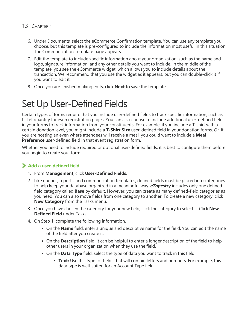- 6. Under Documents, select the eCommerce Confirmation template. You can use any template you choose, but this template is pre-configured to include the information most useful in this situation. The Communication Template page appears.
- 7. Edit the template to include specific information about your organization, such as the name and logo, signature information, and any other details you want to include. In the middle of the template, you see the eCommerce widget, which allows you to include details about the transaction. We recommend that you use the widget as it appears, but you can double-click it if you want to edit it.
- <span id="page-12-0"></span>8. Once you are finished making edits, click **Next** to save the template.

# Set Up User-Defined Fields

Certain types of forms require that you include user-defined fields to track specific information, such as ticket quantity for even registration pages. You can also choose to include additional user-defined fields in your forms to track information from your constituents. For example, if you include a T-shirt with a certain donation level, you might include a **T-Shirt Size** user-defined field in your donation forms. Or, if you are hosting an even where attendees will receive a meal, you could want to include a **Meal Preference** user-defined field in that event registration form.

Whether you need to include required or optional user-defined fields, it is best to configure them before you begin to create your form.

#### **Add a user-defined field**

- 1. From **Management**, click **User-Defined Fields**.
- 2. Like queries, reports, and communication templates, defined fields must be placed into categories to help keep your database organized in a meaningful way. *eTapestry* includes only one definedfield category called **Base** by default. However, you can create as many defined-field categories as you need. You can also move fields from one category to another. To create a new category, click **New Category** from the Tasks menu.
- 3. Once you have chosen the category for your new field, click the category to select it. Click **New Defined Field** under Tasks.
- 4. On Step 1, complete the following information.
	- On the **Name** field, enter a unique and descriptive name for the field. You can edit the name of the field after you create it.
	- On the **Description** field, it can be helpful to enter a longer description of the field to help other users in your organization when they use the field.
	- On the **Data Type** field, select the type of data you want to track in this field.
		- **Text:** Use this type for fields that will contain letters and numbers. For example, this data type is well-suited for an Account Type field.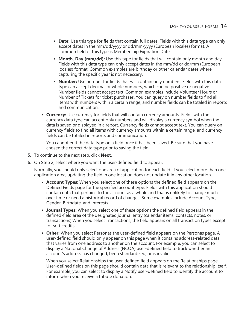- **Date:** Use this type for fields that contain full dates. Fields with this data type can only accept dates in the mm/dd/yyyy or dd/mm/yyyy (European locales) format. A common field of this type is Membership Expiration Date.
- **Month, Day (mm/dd):** Use this type for fields that will contain only month and day. Fields with this data type can only accept dates in the mm/dd or dd/mm (European locales) format. Common examples are birthday or other calendar dates where capturing the specific year is not necessary.
- **Number:** Use number for fields that will contain only numbers. Fields with this data type can accept decimal or whole numbers, which can be positive or negative. Number fields cannot accept text. Common examples include Volunteer Hours or Number of Tickets for ticket purchases. You can query on number fields to find all items with numbers within a certain range, and number fields can be totaled in reports and communication.
- **Currency:** Use currency for fields that will contain currency amounts. Fields with the currency data type can accept only numbers and will display a currency symbol when the data is saved or displayed in a report. Currency fields cannot accept text. You can query on currency fields to find all items with currency amounts within a certain range, and currency fields can be totaled in reports and communication.

You cannot edit the data type on a field once it has been saved. Be sure that you have chosen the correct data type prior to saving the field.

- 5. To continue to the next step, click **Next**.
- 6. On Step 2, select where you want the user-defined field to appear.

Normally, you should only select one area of application for each field. If you select more than one application area, updating the field in one location does not update it in any other location.

- **Account Types:** When you select one of these options the defined field appears on the Defined Fields page for the specified account type. Fields with this application should contain data that pertains to the account as a whole and that is unlikely to change much over time or need a historical record of changes. Some examples include Account Type, Gender, Birthdate, and Interests.
- **Journal Types:** When you select one of these options the defined field appears in the defined-field area of the designated journal entry (calendar items, contacts, notes, or transactions).When you select Transactions, the field appears on all transaction types except for soft credits.
- **Other:** When you select Personas the user-defined field appears on the Personas page. A user-defined field should only appear on this page when it contains address-related data that varies from one address to another on the account. For example, you can select to display a National Change of Address (NCOA) user-defined field to track whether an account's address has changed, been standardized, or is invalid.

When you select Relationships the user-defined field appears on the Relationships page. User-defined fields on this page should contain data that is relevant to the relationship itself. For example, you can select to display a Notify user-defined field to identify the account to inform when you receive a tribute donation.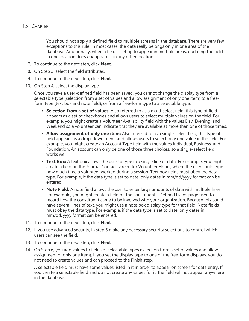You should not apply a defined field to multiple screens in the database. There are very few exceptions to this rule. In most cases, the data really belongs only in one area of the database. Additionally, when a field is set up to appear in multiple areas, updating the field in one location does *not* update it in any other location.

- 7. To continue to the next step, click **Next**.
- 8. On Step 3, select the field attributes.
- 9. To continue to the next step, click **Next**.
- 10. On Step 4, select the display type.

Once you save a user-defined field has been saved, you cannot change the display type from a selectable type (selection from a set of values and allow assignment of only one item) to a freeform type (text box and note field), or from a free-form type to a selectable type.

- **Selection from a set of values:** Also referred to as a multi-select field, this type of field appears as a set of checkboxes and allows users to select multiple values on the field. For example, you might create a Volunteer Availability field with the values Day, Evening, and Weekend so a volunteer can indicate that they are available at more than one of those times.
- **Allow assignment of only one item:** Also referred to as a single-select field, this type of field appears as a drop-down menu and allows users to select only one value in the field. For example, you might create an Account Type field with the values Individual, Business, and Foundation. An account can only be one of those three choices, so a single-select field works well.
- **Text Box:** A text box allows the user to type in a single line of data. For example, you might create a field on the Journal Contact screen for Volunteer Hours, where the user could type how much time a volunteer worked during a session. Text box fields must obey the data type. For example, if the data type is set to date, only dates in mm/dd/yyyy format can be entered.
- **Note Field:** A note field allows the user to enter large amounts of data with multiple lines. For example, you might create a field on the constituent's Defined Fields page used to record how the constituent came to be involved with your organization. Because this could have several lines of text, you might use a note box display type for that field. Note fields must obey the data type. For example, if the data type is set to date, only dates in mm/dd/yyyy format can be entered.
- 11. To continue to the next step, click **Next**.
- 12. If you use advanced security, in step 5 make any necessary security selections to control which users can see the field.
- 13. To continue to the next step, click **Next**.
- 14. On Step 6, you add values to fields of selectable types (selection from a set of values and allow assignment of only one item). If you set the display type to one of the free-form displays, you do not need to create values and can proceed to the Finish step.

A selectable field must have some values listed in it in order to appear on screen for data entry. If you create a selectable field and do not create any values for it, the field will not appear anywhere in the database.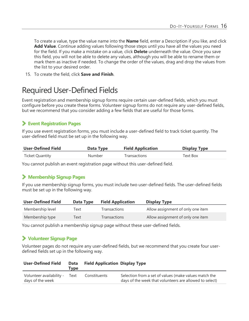To create a value, type the value name into the **Name** field, enter a Description if you like, and click **Add Value**. Continue adding values following those steps until you have all the values you need for the field. If you make a mistake on a value, click **Delete** underneath the value. Once you save this field, you will not be able to delete any values, although you will be able to rename them or mark them as inactive if needed. To change the order of the values, drag and drop the values from the list to your desired order.

<span id="page-15-0"></span>15. To create the field, click **Save and Finish**.

### **Required User-Defined Fields**

Event registration and membership signup forms require certain user-defined fields, which you must configure before you create these forms. Volunteer signup forms do not require any user-defined fields, but we recommend that you consider adding a few fields that are useful for those forms.

#### **Event Registration Pages**

If you use event registration forms, you must include a user-defined field to track ticket quantity. The user-defined field must be set up in the following way.

| <b>User-Defined Field</b> | Data Type | <b>Field Application</b> | <b>Display Type</b> |
|---------------------------|-----------|--------------------------|---------------------|
| <b>Ticket Quantity</b>    | Number    | Transactions             | Text Box            |

You cannot publish an event registration page without this user-defined field.

#### **Membership Signup Pages**

If you use membership signup forms, you must include two user-defined fields. The user-defined fields must be set up in the following way.

| <b>User-Defined Field</b> | Data Type | <b>Field Application</b> | <b>Display Type</b>               |
|---------------------------|-----------|--------------------------|-----------------------------------|
| Membership level          | Text      | <b>Transactions</b>      | Allow assignment of only one item |
| Membership type           | Text      | <b>Transactions</b>      | Allow assignment of only one item |

You cannot publish a membership signup page without these user-defined fields.

#### **Volunteer Signup Page**

Volunteer pages do not require any user-defined fields, but we recommend that you create four userdefined fields set up in the following way.

| <b>User-Defined Field</b>                    | <b>Data</b><br>Tvpe | <b>Field Application Display Type</b> |                                                                                                                  |
|----------------------------------------------|---------------------|---------------------------------------|------------------------------------------------------------------------------------------------------------------|
| Volunteer availability -<br>days of the week | Text                | Constituents                          | Selection from a set of values (make values match the<br>days of the week that volunteers are allowed to select) |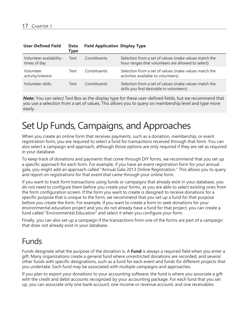| <b>User-Defined Field</b>                | <b>Data</b><br>Type | <b>Field Application Display Type</b> |                                                                                                             |
|------------------------------------------|---------------------|---------------------------------------|-------------------------------------------------------------------------------------------------------------|
| Volunteer availability -<br>times of day | Text                | Constituents                          | Selection from a set of values (make values match the<br>hour ranges that volunteers are allowed to select) |
| Volunteer<br>activity/interest           | Text                | Constituents                          | Selection from a set of values (make values match the<br>activities available to volunteers)                |
| Volunteer skills                         | Text                | Constituents                          | Selection from a set of values (make values match the<br>skills you find desirable in volunteers)           |

*Note:* You can select Text Box as the display type for these user-defined fields, but we recommend that you use a selection from a set of values. This allows you to query on membership level and type more easily.

# <span id="page-16-0"></span>Set Up Funds, Campaigns, and Approaches

When you create an online form that receives payments, such as a donation, membership, or event registration form, you are required to select a fund for transactions received through that form. You can also select a campaign and approach, although those options are only required if they are set as required in your database.

To keep track of donations and payments that come through DIY forms, we recommend that you set up a specific approach for each form. For example, if you have an event registration form for your annual gala, you might add an approach called "Annual Gala 2013 Online Registration." This allows you to query and report on registrations for that event that came through your online form.

If you want to track form transactions using funds or campaigns that already exist in your database, you do not need to configure them before you create your forms, as you are able to select existing ones from the form configuration screen. If the form you want to create is designed to receive donations for a specific purpose that is unique to the form, we recommend that you set up a fund for that purpose before you create the form. For example, if you want to create a form to seek donations for your environmental education project and you do not already have a fund for that project, you can create a fund called "Environmental Education" and select it when you configure your form.

Finally, you can also set up a campaign if the transactions from one of the forms are part of a campaign that does not already exist in your database.

### <span id="page-16-1"></span>Funds

Funds designate what the purpose of the donation is. A **Fund** is always a required field when you enter a gift. Many organizations create a general fund where unrestricted donations are recorded, and several other funds with specific designations, such as a fund for each event and funds for different projects that you undertake. Each fund may be associated with multiple campaigns and approaches.

If you plan to export your donations to your accounting software, the fund is where you associate a gift with the credit and debit accounts recognized by your accounting package. For each fund that you set up, you can associate only one bank account, one income or revenue account, and one receivables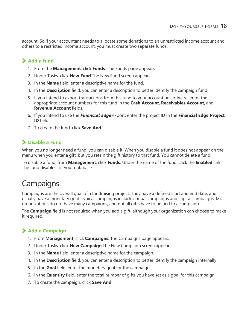account. So if your accountant needs to allocate some donations to an unrestricted income account and others to a restricted income account, you must create two separate funds.

#### **Add a fund**

- 1. From the **Management**, click **Funds**. The Funds page appears.
- 2. Under Tasks, click **New Fund**.The New Fund screen appears.
- 3. In the **Name** field, enter a descriptive name for the fund.
- 4. In the **Description** field, you can enter a description to better identify the campaign fund.
- 5. If you intend to export transactions from this fund to your accounting software, enter the appropriate account numbers for this fund in the **Cash Account**, **Receivables Account**, and **Revenue Account** fields.
- 6. If you intend to use the *Financial Edge* export, enter the project ID In the **Financial Edge Project ID** field.
- 7. To create the fund, click **Save And**.

#### **Disable a Fund**

When you no longer need a fund, you can disable it. When you disable a fund it does not appear on the menu when you enter a gift, but you retain the gift history to that fund. You cannot delete a fund.

To disable a fund, from **Management**, click **Funds**. Under the name of the fund, click the **Enabled** link. The fund disables for your database.

### <span id="page-17-0"></span>**Campaigns**

Campaigns are the overall goal of a fundraising project. They have a defined start and end date, and usually have a monetary goal. Typical campaigns include annual campaigns and capital campaigns. Most organizations do not have many campaigns, and not all gifts have to be tied to a campaign.

The **Campaign** field is not required when you add a gift, although your organization can choose to make it required.

#### **Add a Campaign**

- 1. From **Management**, click **Campaigns**. The Campaigns page appears.
- 2. Under Tasks, click **New Campaign**.The New Campaign screen appears.
- 3. In the **Name** field, enter a descriptive name for the campaign.
- 4. In the **Description** field, you can enter a description to better identify the campaign internally.
- 5. In the **Goal** field, enter the monetary goal for the campaign.
- 6. In the **Quantity** field, enter the total number of gifts you have set as a goal for this campaign.
- 7. To create the campaign, click **Save And**.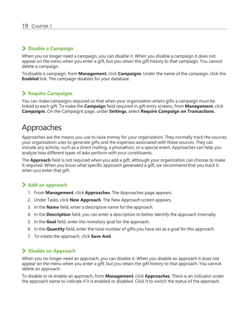#### **Disable a Campaign**

When you no longer need a campaign, you can disable it. When you disable a campaign it does not appear on the menu when you enter a gift, but you retain the gift history to that campaign. You cannot delete a campaign.

To disable a campaign, from **Management**, click **Campaigns**. Under the name of the campaign, click the **Enabled** link. The campaign disables for your database.

#### **Require Campaigns**

You can make campaigns required so that when your organization enters gifts a campaign must be linked to each gift. To make the **Campaign** field required in gift entry screens, from **Management**, click **Campaigns**. On the Campaigns page, under **Settings**, select **Require Campaign on Transactions**.

### <span id="page-18-0"></span>Approaches

Approaches are the means you use to raise money for your organization. They normally track the sources your organization uses to generate gifts and the expenses associated with these sources. They can include any activity, such as a direct mailing, a phonathon, or a special event. Approaches can help you analyze how different types of asks perform with your constituents.

The **Approach** field is not required when you add a gift, although your organization can choose to make it required. When you know what specific approach generated a gift, we recommend that you track it when you enter that gift.

#### **Add an approach**

- 1. From **Management**, click **Approaches**. The Approaches page appears.
- 2. Under Tasks, click **New Approach**. The New Approach screen appears.
- 3. In the **Name** field, enter a descriptive name for the approach.
- 4. In the **Description** field, you can enter a description to better identify the approach internally.
- 5. In the **Goal** field, enter the monetary goal for the approach.
- 6. In the **Quantity** field, enter the total number of gifts you have set as a goal for this approach.
- 7. To create the approach, click **Save And**.

#### **Disable an Approach**

When you no longer need an approach, you can disable it. When you disable an approach it does not appear on the menu when you enter a gift, but you retain the gift history to that approach. You cannot delete an approach.

To disable or re-enable an approach, from **Management**, click **Approaches**. There is an indicator under the approach name to indicate if it is enabled or disabled. Click it to switch the status of the approach.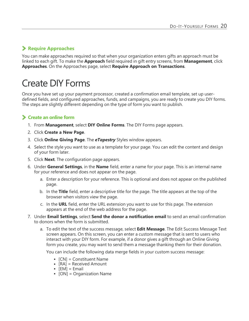#### **Require Approaches**

You can make approaches required so that when your organization enters gifts an approach must be linked to each gift. To make the **Approach** field required in gift entry screens, from **Management**, click **Approaches**. On the Approaches page, select **Require Approach on Transactions**.

# <span id="page-19-0"></span>Create DIY Forms

Once you have set up your payment processor, created a confirmation email template, set up userdefined fields, and configured approaches, funds, and campaigns, you are ready to create you DIY forms. The steps are slightly different depending on the type of form you want to publish.

#### **Create an online form**

- 1. From **Management**, select **DIY Online Forms**. The DIY Forms page appears.
- 2. Click **Create a New Page**.
- 3. Click **Online Giving Page**. The *eTapestry* Styles window appears.
- 4. Select the style you want to use as a template for your page. You can edit the content and design of your form later.
- 5. Click **Next**. The configuration page appears.
- 6. Under **General Settings**, in the **Name** field, enter a name for your page. This is an internal name for your reference and does not appear on the page.
	- a. Enter a description for your reference. This is optional and does not appear on the published page.
	- b. In the **Title** field, enter a descriptive title for the page. The title appears at the top of the browser when visitors view the page.
	- c. In the **URL** field, enter the URL extension you want to use for this page. The extension appears at the end of the web address for the page.
- 7. Under **Email Settings**, select **Send the donor a notification email** to send an email confirmation to donors when the form is submitted.
	- a. To edit the text of the success message, select **Edit Message**. The Edit Success Message Text screen appears. On this screen, you can enter a custom message that is sent to users who interact with your DIY form. For example, if a donor gives a gift through an Online Giving form you create, you may want to send them a message thanking them for their donation.

You can include the following data merge fields in your custom success message:

- $\bullet$  [CN] = Constituent Name
- $[RA] =$  Received Amount
- $[EM] = Email$
- $[ON] = Organization Name$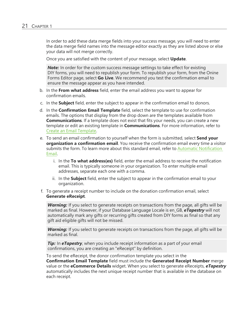In order to add these data merge fields into your success message, you will need to enter the data merge field names into the message editor exactly as they are listed above or else your data will not merge correctly.

Once you are satisfied with the content of your message, select **Update**.

**Note:** In order for the custom success message settings to take effect for existing DIY forms, you will need to republish your form. To republish your form, from the Onine Forms Editor page, select **Go Live**. We recommend you test the confirmation email to ensure the message appear as you have intended.

- b. In the **From what address** field, enter the email address you want to appear for confirmation emails.
- c. In the **Subject** field, enter the subject to appear in the confirmation email to donors.
- d. In the **Confirmation Email Template** field, select the template to use for confirmation emails. The options that display from the drop down are the templates available from **Communications**. If a template does not exist that fits your needs, you can create a new template or edit an existing template in **Communications**. For more information, refer to Create an Email [Template](https://www.blackbaud.com/files/support/helpfiles/etapestry/etapestry/content/etapcreatingemailtemplate.html).
- e. To send an email confirmation to yourself when the form is submitted, select **Send your organization a confirmation email**. You receive the confirmation email every time a visitor submits the form. To learn more about this standard email, refer to Automatic [Notification](https://www.blackbaud.com/files/support/helpfiles/etapestry/etapestry/content/etaporganizationnotificationonlineforms.html) [Email.](https://www.blackbaud.com/files/support/helpfiles/etapestry/etapestry/content/etaporganizationnotificationonlineforms.html)
	- i. In the **To what address(es)** field, enter the email address to receive the notification email. This is typically someone in your organization. To enter multiple email addresses, separate each one with a comma.
	- ii. In the **Subject** field, enter the subject to appear in the confirmation email to your organization.
- f. To generate a receipt number to include on the donation confirmation email, select **Generate eReceipt**.

*Warning:* If you select to generate receipts on transactions from the page, all gifts will be marked as final. However, if your Database Language Locale is en\_GB, *eTapestry* will not automatically mark any gifts or recurring gifts created from DIY forms as final so that any gift aid eligible gifts will not be missed.

Warning: If you select to generate receipts on transactions from the page, all gifts will be marked as final.

*Tip:* In *eTapestry*, when you include receipt information as a part of your email confirmations, you are creating an "eReceipt" by definition.

To send the eReceipt, the donor confirmation template you select in the **Confirmation Email Template** field must include the **Generated Receipt Number** merge value or the **eCommerce Details** widget. When you select to generate eReceipts, *eTapestry* automatically includes the next unique receipt number that is available in the database on each receipt.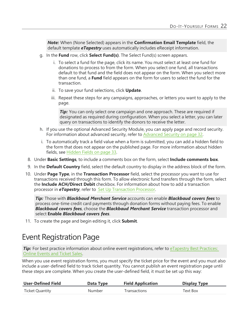*Note:* When (None Selected) appears in the **Confirmation Email Template** field, the default template *eTapestry* uses automatically includes eReceipt information.

- g. In the **Fund** row, click **Select Fund(s)**. The Select Fund(s) screen appears.
	- i. To select a fund for the page, click its name. You must select at least one fund for donations to process to from the form. When you select one fund, all transactions default to that fund and the field does not appear on the form. When you select more than one fund, a **Fund** field appears on the form for users to select the fund for the transaction.
	- ii. To save your fund selections, click **Update**.
	- iii. Repeat these steps for any campaigns, approaches, or letters you want to apply to the page.

*Tip:* You can only select one campaign and one approach. These are required if designated as required during configuration. When you select a letter, you can later query on transactions to identify the donors to receive the letter.

- h. If you use the optional Advanced Security Module, you can apply page and record security. For information about advanced security, refer to [Advanced](#page-31-0) Security on page 32.
- i. To automatically track a field value when a form is submitted, you can add a hidden field to the form that does not appear on the published page. For more information about hidden fields, see [Hidden](#page-32-0) Fields on page 33.
- 8. Under **Basic Settings**, to include a comments box on the form, select **Include comments box**.
- 9. In the **Default Country** field, select the default country to display in the address block of the form.
- 10. Under **Page Type**, in the **Transaction Processor** field, select the processor you want to use for transactions received through this form. To allow electronic fund transfers through the form, select the **Include ACH/Direct Debit** checkbox. For information about how to add a transaction processor in *eTapestry*, refer to Set Up [Transaction](https://www.blackbaud.com/files/support/helpfiles/etapestry/etapestry/content/etaptransactionprocessor.html) Processor.

*Tip:* Those with *Blackbaud Merchant Service* accounts can enable *Blackbaud covers fees* to process one-time credit card payments through donation forms without paying fees. To enable *Blackbaud covers fees*, choose the *Blackbaud Merchant Service* transaction processor and select **Enable** *Blackbaud covers fees*.

<span id="page-21-0"></span>11. To create the page and begin editing it, click **Submit**.

### Event Registration Page

**Tip:** For best practice information about online event registrations, refer to [eTapestry](https://www.blackbaud.com/support/guides/etap/bestpract/eventtracking2.html) Best Practices: [Online](https://www.blackbaud.com/support/guides/etap/bestpract/eventtracking2.html) Events and Ticket Sales.

When you use event registration forms, you must specify the ticket price for the event and you must also include a user-defined field to track ticket quantity. You cannot publish an event registration page until these steps are complete. When you create the user-defined field, it must be set up this way:

| <b>User-Defined Field</b> | Data Type | <b>Field Application</b> | <b>Display Type</b> |
|---------------------------|-----------|--------------------------|---------------------|
| <b>Ticket Quantity</b>    | Number    | Transactions             | Text Box            |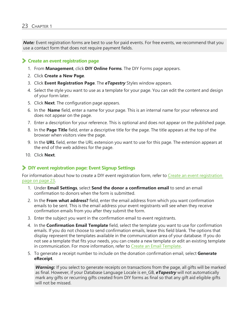**Note:** Event registration forms are best to use for paid events. For free events, we recommend that you use a contact form that does not require payment fields.

#### <span id="page-22-0"></span>**Create an event registration page**

- 1. From **Management**, click **DIY Online Forms**. The DIY Forms page appears.
- 2. Click **Create a New Page**.
- 3. Click **Event Registration Page**. The *eTapestry* Styles window appears.
- 4. Select the style you want to use as a template for your page. You can edit the content and design of your form later.
- 5. Click **Next**. The configuration page appears.
- 6. In the **Name** field, enter a name for your page. This is an internal name for your reference and does not appear on the page.
- 7. Enter a description for your reference. This is optional and does not appear on the published page.
- 8. In the **Page Title** field, enter a descriptive title for the page. The title appears at the top of the browser when visitors view the page.
- 9. In the **URL** field, enter the URL extension you want to use for this page. The extension appears at the end of the web address for the page.
- 10. Click **Next**.

#### **DIY event registration page: Event Signup Settings**

For information about how to create a DIY event registration form, refer to Create an event [registration](#page-22-0) [page](#page-22-0) on page 23.

- 1. Under **Email Settings**, select **Send the donor a confirmation email** to send an email confirmation to donors when the form is submitted.
- 2. In the **From what address?** field, enter the email address from which you want confirmation emails to be sent. This is the email address your event registrants will see when they receive confirmation emails from you after they submit the form.
- 3. Enter the subject you want in the confirmation email to event registrants.
- 4. In the **Confirmation Email Template** field, select the template you want to use for confirmation emails. If you do not choose to send confirmation emails, leave this field blank. The options that display represent the templates available in the communication area of your database. If you do not see a template that fits your needs, you can create a new template or edit an existing template in communication. For more information, refer to Create an Email [Template.](https://www.blackbaud.com/files/support/helpfiles/etapestry/etapestry/content/etapcreatingemailtemplate.html)
- 5. To generate a receipt number to include on the donation confirmation email, select **Generate eReceipt**.

*Warning:* If you select to generate receipts on transactions from the page, all gifts will be marked as final. However, if your Database Language Locale is en\_GB, *eTapestry* will not automatically mark any gifts or recurring gifts created from DIY forms as final so that any gift aid eligible gifts will not be missed.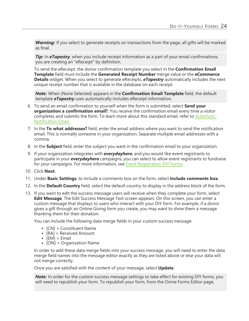*Warning:* If you select to generate receipts on transactions from the page, all gifts will be marked as final.

**Tip:** In **eTapestry**, when you include receipt information as a part of your email confirmations, you are creating an "eReceipt" by definition.

To send the eReceipt, the donor confirmation template you select in the **Confirmation Email Template** field must include the **Generated Receipt Number** merge value or the **eCommerce Details** widget. When you select to generate eReceipts, *eTapestry* automatically includes the next unique receipt number that is available in the database on each receipt.

*Note:* When (None Selected) appears in the **Confirmation Email Template** field, the default template *eTapestry* uses automatically includes eReceipt information.

- 6. To send an email confirmation to yourself when the form is submitted, select **Send your organization a confirmation email?**. You receive the confirmation email every time a visitor completes and submits the form. To learn more about this standard email, refer to [Automatic](https://www.blackbaud.com/files/support/helpfiles/etapestry/etapestry/content/etaporganizationnotificationonlineforms.html) [Notification](https://www.blackbaud.com/files/support/helpfiles/etapestry/etapestry/content/etaporganizationnotificationonlineforms.html) Email[.](../../../../../../Content/ETAPOrganizationNotificationOnlineForms.htm)
- 7. In the **To what addresses?** field, enter the email address where you want to send the notification email. This is normally someone in your organization. Separate multiple email addresses with a comma.
- 8. In the **Subject** field, enter the subject you want in the confirmation email to your organization.
- 9. If your organization integrates with *everydayhero*, and you would like event registrants to participate in your *everydayhero* campaigns, you can select to allow event registrants to fundraise for your campaigns. For more information, see Event [Registration](https://www.blackbaud.com/files/support/helpfiles/etapestry/etapestry/default.html#etapedheventregistration.html) DIY Forms.
- 10. Click **Next**.
- 11. Under **Basic Settings**, to include a comments box on the form, select **Include comments box**.
- 12. In the **Default Country** field, select the default country to display in the address block of the form.
- 13. If you want to edit the success message users will receive when they complete your form, select **Edit Message**. The Edit Success Message Text screen appears. On this screen, you can enter a custom message that displays to users who interact with your DIY form. For example, if a donor gives a gift through an Online Giving form you create, you may want to show them a message thanking them for their donation.

You can include the following data merge fields in your custom success message:

- $[CN] =$  Constituent Name
- $[RA] =$  Received Amount
- $[EM] = Email$
- [ON] = Organization Name

In order to add these data merge fields into your success message, you will need to enter the data merge field names into the message editor exactly as they are listed above or else your data will not merge correctly.

Once you are satisfied with the content of your message, select **Update**.

**Note:** In order for the custom success message settings to take effect for existing DIY forms, you will need to republish your form. To republish your form, from the Onine Forms Editor page,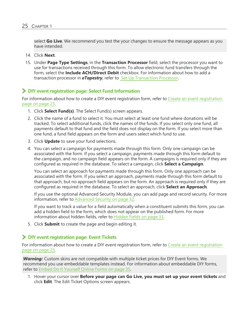select **Go Live**. We recommend you test the your changes to ensure the message appears as you have intended.

- 14. Click **Next**.
- 15. Under **Page Type Settings**, in the **Transaction Processor** field, select the processor you want to use for transactions received through this form. To allow electronic fund transfers through the form, select the **Include ACH/Direct Debit** checkbox. For information about how to add a transaction processor in *eTapestry*, refer to Set Up [Transaction](https://www.blackbaud.com/files/support/helpfiles/etapestry/etapestry/content/etaptransactionprocessor.html) Processor.

#### **DIY event registration page: Select Fund Information**

For information about how to create a DIY event [registration](#page-22-0) form, refer to Create an event registration [page](#page-22-0) on page 23.

- 1. Click **Select Fund(s)**. The Select Fund(s) screen appears.
- 2. Click the name of a fund to select it. You must select at least one fund where donations will be tracked. To select additional funds, click the names of the funds. If you select only one fund, all payments default to that fund and the field does not display on the form. If you select more than one fund, a fund field appears on the form and users select which fund to use.
- 3. Click **Update** to save your fund selections.
- 4. You can select a campaign for payments made through this form. Only one campaign can be associated with the form. If you select a campaign, payments made through this form default to the campaign, and no campaign field appears on the form. A campaigns is required only if they are configured as required in the database. To select a campaign, click **Select a Campaign**.

You can select an approach for payments made through this form. Only one approach can be associated with the form. If you select an approach, payments made through this form default to that approach, but no approach field appears on the form. An approach is required only if they are configured as required in the database. To select an approach, click **Select an Approach**.

If you use the optional Advanced Security Module, you can add page and record security. For more information, refer to [Advanced](#page-31-0) Security on page 32.

If you want to track a value for a field automatically when a constituent submits this form, you can add a hidden field to the form, which does not appear on the published form. For more information about hidden fields, refer to [Hidden](#page-32-0) Fields on page 33.

5. Click **Submit** to create the page and begin editing it.

#### **DIY event registration page: Event Tickets**

For information about how to create a DIY event [registration](#page-22-0) form, refer to Create an event registration [page](#page-22-0) on page 23.

*Warning:* Custom skins are not compatible with multiple ticket prices for DIY Event forms. We recommend you use embeddable templates instead. For information about embeddable DIY forms, refer to Embed Do It [Yourself](#page-34-1) Online Forms on page 35.

1. Hover your cursor over **Before your page can Go Live, you must set up your event tickets** and click **Edit**. The Edit Ticket Options screen appears.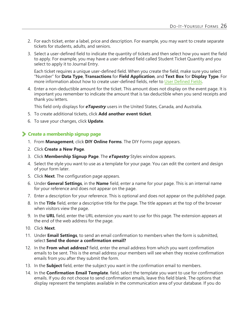- 2. For each ticket, enter a label, price and description. For example, you may want to create separate tickets for students, adults, and seniors.
- 3. Select a user-defined field to indicate the quantity of tickets and then select how you want the field to apply. For example, you may have a user-defined field called Student Ticket Quantity and you select to apply it to Journal Entry.

Each ticket requires a unique user-defined field. When you create the field, make sure you select "Number" for **Data Type**, **Transactions** for **Field Application**, and **Text Box** for **Display Type**. For more information about how to create user-defined fields, refer to User [Defined](https://www.blackbaud.com/files/support/helpfiles/etapestry/etapestry/content/etapuserdefinedfields.html) Fields.

4. Enter a non-deductible amount for the ticket. This amount does not display on the event page. It is important you remember to indicate the amount that is tax deductible when you send receipts and thank you letters.

This field only displays for *eTapestry* users in the United States, Canada, and Australia.

- 5. To create additional tickets, click **Add another event ticket**.
- 6. To save your changes, click **Update**.

#### **Create a membership signup page**

- 1. From **Management**, click **DIY Online Forms**. The DIY Forms page appears.
- 2. Click **Create a New Page**.
- 3. Click **Membership Signup Page**. The *eTapestry* Styles window appears.
- 4. Select the style you want to use as a template for your page. You can edit the content and design of your form later.
- 5. Click **Next**. The configuration page appears.
- 6. Under **General Settings**, in the **Name** field, enter a name for your page. This is an internal name for your reference and does not appear on the page.
- 7. Enter a description for your reference. This is optional and does not appear on the published page.
- 8. In the **Title** field, enter a descriptive title for the page. The title appears at the top of the browser when visitors view the page.
- 9. In the **URL** field, enter the URL extension you want to use for this page. The extension appears at the end of the web address for the page.
- 10. Click **Next**.
- 11. Under **Email Settings**, to send an email confirmation to members when the form is submitted, select **Send the donor a confirmation email?**
- 12. In the **From what address?** field, enter the email address from which you want confirmation emails to be sent. This is the email address your members will see when they receive confirmation emails from you after they submit the form.
- 13. In the **Subject** field, enter the subject you want in the confirmation email to members.
- 14. In the **Confirmation Email Template**. field, select the template you want to use for confirmation emails. If you do not choose to send confirmation emails, leave this field blank. The options that display represent the templates available in the communication area of your database. If you do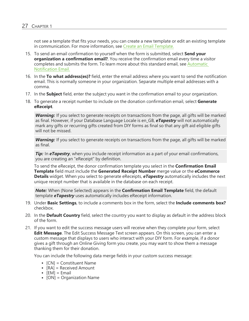not see a template that fits your needs, you can create a new template or edit an existing template in communication. For more information, see Create an Email [Template.](https://www.blackbaud.com/files/support/helpfiles/etapestry/etapestry/content/etapcreatingemailtemplate.html)

- 15. To send an email confirmation to yourself when the form is submitted, select **Send your organization a confirmation email?**. You receive the confirmation email every time a visitor completes and submits the form. To learn more about this standard email, see [Automatic](https://www.blackbaud.com/files/support/helpfiles/etapestry/etapestry/content/etaporganizationnotificationonlineforms.html) [Notification](https://www.blackbaud.com/files/support/helpfiles/etapestry/etapestry/content/etaporganizationnotificationonlineforms.html) Email[.](../../../../../../Content/ETAPOrganizationNotificationOnlineForms.htm)
- 16. In the **To what address(es)?** field, enter the email address where you want to send the notification email. This is normally someone in your organization. Separate multiple email addresses with a comma.
- 17. In the **Subject** field, enter the subject you want in the confirmation email to your organization.
- 18. To generate a receipt number to include on the donation confirmation email, select **Generate eReceipt**.

*Warning:* If you select to generate receipts on transactions from the page, all gifts will be marked as final. However, if your Database Language Locale is en\_GB, *eTapestry* will not automatically mark any gifts or recurring gifts created from DIY forms as final so that any gift aid eligible gifts will not be missed.

*Warning:* If you select to generate receipts on transactions from the page, all gifts will be marked as final.

**Tip:** In **eTapestry**, when you include receipt information as a part of your email confirmations, you are creating an "eReceipt" by definition.

To send the eReceipt, the donor confirmation template you select in the **Confirmation Email Template** field must include the **Generated Receipt Number** merge value or the **eCommerce Details** widget. When you select to generate eReceipts, *eTapestry* automatically includes the next unique receipt number that is available in the database on each receipt.

*Note:* When (None Selected) appears in the **Confirmation Email Template** field, the default template *eTapestry* uses automatically includes eReceipt information.

- 19. Under **Basic Settings**, to include a comments box in the form, select the **Include comments box?** checkbox.
- 20. In the **Default Country** field, select the country you want to display as default in the address block of the form.
- 21. If you want to edit the success message users will receive when they complete your form, select **Edit Message**. The Edit Success Message Text screen appears. On this screen, you can enter a custom message that displays to users who interact with your DIY form. For example, if a donor gives a gift through an Online Giving form you create, you may want to show them a message thanking them for their donation.

You can include the following data merge fields in your custom success message:

- $[CN] =$  Constituent Name
- $[RA] =$  Received Amount
- $[EM] = Email$
- [ON] = Organization Name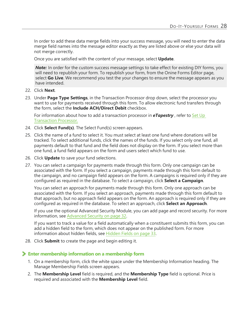In order to add these data merge fields into your success message, you will need to enter the data merge field names into the message editor exactly as they are listed above or else your data will not merge correctly.

Once you are satisfied with the content of your message, select **Update**.

**Note:** In order for the custom success message settings to take effect for existing DIY forms, you will need to republish your form. To republish your form, from the Onine Forms Editor page, select **Go Live**. We recommend you test the your changes to ensure the message appears as you have intended.

- 22. Click **Next**.
- 23. Under **Page Type Settings**, in the Transaction Processor drop down, select the processor you want to use for payments received through this form. To allow electronic fund transfers through the form, select the **Include ACH/Direct Debit** checkbox.

For information about how to add a transaction processor in **eTapestry**, refer to [Set](https://www.blackbaud.com/files/support/helpfiles/etapestry/etapestry/content/etaptransactionprocessor.html) Up [Transaction](https://www.blackbaud.com/files/support/helpfiles/etapestry/etapestry/content/etaptransactionprocessor.html) Processor.

- 24. Click **Select Fund(s)**. The Select Fund(s) screen appears.
- 25. Click the name of a fund to select it. You must select at least one fund where donations will be tracked. To select additional funds, click the names of the funds. If you select only one fund, all payments default to that fund and the field does not display on the form. If you select more than one fund, a fund field appears on the form and users select which fund to use.
- 26. Click **Update** to save your fund selections.
- 27. You can select a campaign for payments made through this form. Only one campaign can be associated with the form. If you select a campaign, payments made through this form default to the campaign, and no campaign field appears on the form. A campaigns is required only if they are configured as required in the database. To select a campaign, click **Select a Campaign**.

You can select an approach for payments made through this form. Only one approach can be associated with the form. If you select an approach, payments made through this form default to that approach, but no approach field appears on the form. An approach is required only if they are configured as required in the database. To select an approach, click **Select an Approach**.

If you use the optional Advanced Security Module, you can add page and record security. For more information, see [Advanced](#page-31-0) Security on page 32.

If you want to track a value for a field automatically when a constituent submits this form, you can add a hidden field to the form, which does not appear on the published form. For more information about hidden fields, see [Hidden](#page-32-0) Fields on page 33.

28. Click **Submit** to create the page and begin editing it.

#### **Enter membership information on a membership form**

- 1. On a membership form, click the white space under the Membership Information heading. The Manage Membership Fields screen appears.
- 2. The **Membership Level** field is required, and the **Membership Type** field is optional. Price is required and associated with the **Membership Level** field.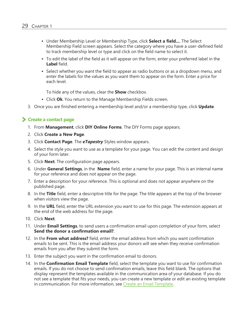- <sup>l</sup> Under Membership Level or Membership Type, click **Select a field...**. The Select Membership Field screen appears. Select the category where you have a user-defined field to track membership level or type and click on the field name to select it.
- To edit the label of the field as it will appear on the form, enter your preferred label in the **Label** field.
- Select whether you want the field to appear as radio buttons or as a dropdown menu, and enter the labels for the values as you want them to appear on the form. Enter a price for each level.

To hide any of the values, clear the **Show** checkbox.

- Click Ok. You return to the Manage Membership Fields screen.
- 3. Once you are finished entering a membership level and/or a membership type, click **Update**.

#### **Create a contact page**

- 1. From **Management**, click **DIY Online Forms**. The DIY Forms page appears.
- 2. Click **Create a New Page**.
- 3. Click **Contact Page**. The *eTapestry* Styles window appears.
- 4. Select the style you want to use as a template for your page. You can edit the content and design of your form later.
- 5. Click **Next**. The configuration page appears.
- 6. Under **General Settings**, in the **Name** field, enter a name for your page. This is an internal name for your reference and does not appear on the page.
- 7. Enter a description for your reference. This is optional and does not appear anywhere on the published page.
- 8. In the **Title** field, enter a descriptive title for the page. The title appears at the top of the browser when visitors view the page.
- 9. In the **URL** field, enter the URL extension you want to use for this page. The extension appears at the end of the web address for the page.
- 10. Click **Next**.
- 11. Under **Email Settings**, to send users a confirmation email upon completion of your form, select **Send the donor a confirmation email?**.
- 12. In the **From what address?** field, enter the email address from which you want confirmation emails to be sent. This is the email address your donors will see when they receive confirmation emails from you after they submit the form.
- 13. Enter the subject you want in the confirmation email to donors.
- 14. In the **Confirmation Email Template** field, select the template you want to use for confirmation emails. If you do not choose to send confirmation emails, leave this field blank. The options that display represent the templates available in the communication area of your database. If you do not see a template that fits your needs, you can create a new template or edit an existing template in communication. For more information, see Create an Email [Template](https://www.blackbaud.com/files/support/helpfiles/etapestry/etapestry/content/etapcreatingemailtemplate.html).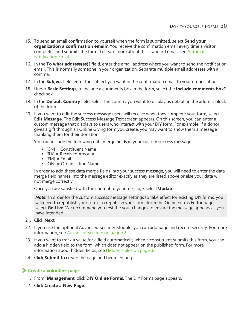- 15. To send an email confirmation to yourself when the form is submitted, select **Send your organization a confirmation email?**. You receive the confirmation email every time a visitor completes and submits the form. To learn more about this standard email, see [Automatic](https://www.blackbaud.com/files/support/helpfiles/etapestry/etapestry/content/etaporganizationnotificationonlineforms.html) [Notification](https://www.blackbaud.com/files/support/helpfiles/etapestry/etapestry/content/etaporganizationnotificationonlineforms.html) Email[.](../../../../../../Content/ETAPOrganizationNotificationOnlineForms.htm)
- 16. In the **To what address(es)?** field, enter the email address where you want to send the notification email. This is normally someone in your organization. Separate multiple email addresses with a comma.
- 17. In the **Subject** field, enter the subject you want in the confirmation email to your organization.
- 18. Under **Basic Settings**, to include a comments box in the form, select the **Include comments box?** checkbox.
- 19. In the **Default Country** field, select the country you want to display as default in the address block of the form.
- 20. If you want to edit the success message users will receive when they complete your form, select **Edit Message**. The Edit Success Message Text screen appears. On this screen, you can enter a custom message that displays to users who interact with your DIY form. For example, if a donor gives a gift through an Online Giving form you create, you may want to show them a message thanking them for their donation.

You can include the following data merge fields in your custom success message:

- $[CN] =$  Constituent Name
- $[RA] =$  Received Amount
- $\bullet$  [EM] = Email
- $[ON] = Organization Name$

In order to add these data merge fields into your success message, you will need to enter the data merge field names into the message editor exactly as they are listed above or else your data will not merge correctly.

Once you are satisfied with the content of your message, select **Update**.

**Note:** In order for the custom success message settings to take effect for existing DIY forms, you will need to republish your form. To republish your form, from the Onine Forms Editor page, select **Go Live**. We recommend you test the your changes to ensure the message appears as you have intended.

- 21. Click **Next**.
- 22. If you use the optional Advanced Security Module, you can add page and record security. For more information, see [Advanced](#page-31-0) Security on page 32.
- 23. If you want to track a value for a field automatically when a constituent submits this form, you can add a hidden field to the form, which does not appear on the published form. For more information about hidden fields, see [Hidden](#page-32-0) Fields on page 33.
- 24. Click **Submit** to create the page and begin editing it.

#### **Create a volunteer page**

- 1. From **Management**, click **DIY Online Forms**. The DIY Forms page appears.
- 2. Click **Create a New Page**.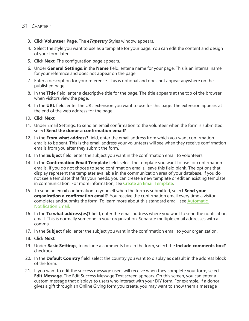- 3. Click **Volunteer Page**. The *eTapestry* Styles window appears.
- 4. Select the style you want to use as a template for your page. You can edit the content and design of your form later.
- 5. Click **Next**. The configuration page appears.
- 6. Under **General Settings**, in the **Name** field, enter a name for your page. This is an internal name for your reference and does not appear on the page.
- 7. Enter a description for your reference. This is optional and does not appear anywhere on the published page.
- 8. In the **Title** field, enter a descriptive title for the page. The title appears at the top of the browser when visitors view the page.
- 9. In the **URL** field, enter the URL extension you want to use for this page. The extension appears at the end of the web address for the page.
- 10. Click **Next**.
- 11. Under Email Settings, to send an email confirmation to the volunteer when the form is submitted, select **Send the donor a confirmation email?**.
- 12. In the **From what address?** field, enter the email address from which you want confirmation emails to be sent. This is the email address your volunteers will see when they receive confirmation emails from you after they submit the form.
- 13. In the **Subject** field, enter the subject you want in the confirmation email to volunteers.
- 14. In the **Confirmation Email Template** field, select the template you want to use for confirmation emails. If you do not choose to send confirmation emails, leave this field blank. The options that display represent the templates available in the communication area of your database. If you do not see a template that fits your needs, you can create a new template or edit an existing template in communication. For more information, see Create an Email [Template](https://www.blackbaud.com/files/support/helpfiles/etapestry/etapestry/content/etapcreatingemailtemplate.html).
- 15. To send an email confirmation to yourself when the form is submitted, select **Send your organization a confirmation email?**. You receive the confirmation email every time a visitor completes and submits the form. To learn more about this standard email, see [Automatic](https://www.blackbaud.com/files/support/helpfiles/etapestry/etapestry/content/etaporganizationnotificationonlineforms.html) [Notification](https://www.blackbaud.com/files/support/helpfiles/etapestry/etapestry/content/etaporganizationnotificationonlineforms.html) Email[.](../../../../../../Content/ETAPOrganizationNotificationOnlineForms.htm)
- 16. In the **To what address(es)?** field, enter the email address where you want to send the notification email. This is normally someone in your organization. Separate multiple email addresses with a comma.
- 17. In the **Subject** field, enter the subject you want in the confirmation email to your organization.
- 18. Click **Next**.
- 19. Under **Basic Settings**, to include a comments box in the form, select the **Include comments box?** checkbox.
- 20. In the **Default Country** field, select the country you want to display as default in the address block of the form.
- 21. If you want to edit the success message users will receive when they complete your form, select **Edit Message**. The Edit Success Message Text screen appears. On this screen, you can enter a custom message that displays to users who interact with your DIY form. For example, if a donor gives a gift through an Online Giving form you create, you may want to show them a message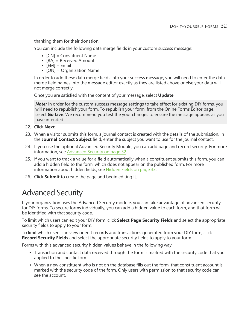thanking them for their donation.

You can include the following data merge fields in your custom success message:

- $[CN] =$  Constituent Name
- $[RA] =$  Received Amount
- $[EM] = Email$
- $[ON] = Organization Name$

In order to add these data merge fields into your success message, you will need to enter the data merge field names into the message editor exactly as they are listed above or else your data will not merge correctly.

Once you are satisfied with the content of your message, select **Update**.

**Note:** In order for the custom success message settings to take effect for existing DIY forms, you will need to republish your form. To republish your form, from the Onine Forms Editor page, select **Go Live**. We recommend you test the your changes to ensure the message appears as you have intended.

- 22. Click **Next**.
- 23. When a visitor submits this form, a journal contact is created with the details of the submission. In the **Journal Contact Subject** field, enter the subject you want to use for the journal contact.
- 24. If you use the optional Advanced Security Module, you can add page and record security. For more information, see [Advanced](#page-31-0) Security on page 32.
- 25. If you want to track a value for a field automatically when a constituent submits this form, you can add a hidden field to the form, which does not appear on the published form. For more information about hidden fields, see [Hidden](#page-32-0) Fields on page 33.
- <span id="page-31-0"></span>26. Click **Submit** to create the page and begin editing it.

### Advanced Security

If your organization uses the Advanced Security module, you can take advantage of advanced security for DIY forms. To secure forms individually, you can add a hidden value to each form, and that form will be identified with that security code.

To limit which users can edit your DIY form, click **Select Page Security Fields** and select the appropriate security fields to apply to your form.

To limit which users can view or edit records and transactions generated from your DIY form, click **Record Security Fields** and select the appropriate security fields to apply to your form.

Forms with this advanced security hidden values behave in the following way:

- Transaction and contact data received through the form is marked with the security code that you applied to the specific form.
- When a new constituent who is not on the database fills out the form, that constituent account is marked with the security code of the form. Only users with permission to that security code can see the account.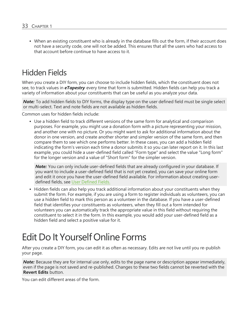• When an existing constituent who is already in the database fills out the form, if their account does not have a security code, one will not be added. This ensures that all the users who had access to that account before continue to have access to it.

### <span id="page-32-0"></span>Hidden Fields

When you create a DIY form, you can choose to include hidden fields, which the constituent does not see, to track values in *eTapestry* every time that form is submitted. Hidden fields can help you track a variety of information about your constituents that can be useful as you analyze your data.

**Note:** To add hidden fields to DIY forms, the display type on the user defined field must be single select or multi-select. Text and note fields are not available as hidden fields.

Common uses for hidden fields include:

• Use a hidden field to track different versions of the same form for analytical and comparison purposes. For example, you might use a donation form with a picture representing your mission, and another one with no picture. Or you might want to ask for additional information about the donor in one version, and create another shorter and simpler version of the same form, and then compare them to see which one performs better. In these cases, you can add a hidden field indicating the form's version each time a donor submits it so you can later report on it. In this last example, you could hide a user-defined field called "Form type" and select the value "Long form" for the longer version and a value of "Short form" for the simpler version.

*Note:* You can only include user-defined fields that are already configured in your database. If you want to include a user-defined field that is not yet created, you can save your online form and edit it once you have the user-defined field available. For information about creating userdefined fields, see User [Defined](https://www.blackbaud.com/files/support/helpfiles/etapestry/etapestry/content/etapuserdefinedfields.html) Fields[.](../../../../../../Content/ETAPUserDefinedFields.htm)

• Hidden fields can also help you track additional information about your constituents when they submit the form. For example, if you are using a form to register individuals as volunteers, you can use a hidden field to mark this person as a volunteer in the database. If you have a user-defined field that identifies your constituents as volunteers, when they fill out a form intended for volunteers you can automatically track the appropriate value in this field without requiring the constituent to select it in the form. In this example, you would add your user-defined field as a hidden field and select a positive value for it.

# <span id="page-32-1"></span>Edit Do It Yourself Online Forms

After you create a DIY form, you can edit it as often as necessary. Edits are not live until you re-publish your page.

*Note:* Because they are for internal use only, edits to the page name or description appear immediately, even if the page is not saved and re-published. Changes to these two fields cannot be reverted with the **Revert Edits** button.

You can edit different areas of the form.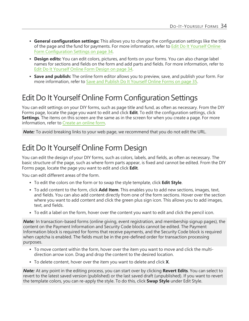- <sup>l</sup> **General configuration settings:** This allows you to change the configuration settings like the title of the page and the fund for payments. For more information, refer to Edit Do It [Yourself](#page-33-0) Online Form [Configuration](#page-33-0) Settings on page 34.
- **Design edits:** You can edit colors, pictures, and fonts on your forms. You can also change label names for sections and fields on the form and add parts and fields. For more information, refer to Edit Do It [Yourself](#page-33-1) Online Form Design on page 34.
- **Save and publish:** The online form editor allows you to preview, save, and publish your form. For more information, refer to Save and Publish Do It [Yourself](#page-34-0) Online Forms on page 35.

### <span id="page-33-0"></span>Edit Do It Yourself Online Form Configuration Settings

You can edit settings on your DIY forms, such as page title and fund, as often as necessary. From the DIY Forms page, locate the page you want to edit and click **Edit**. To edit the configuration settings, click **Settings**. The items on this screen are the same as in the screen for when you create a page. For more information, refer to [Create](https://www.blackbaud.com/files/support/helpfiles/etapestry/etapestry/content/tketapcreatewebform.html) an online form.

<span id="page-33-1"></span>**Note:** To avoid breaking links to your web page, we recommend that you do not edit the URL.

### Edit Do It Yourself Online Form Design

You can edit the design of your DIY forms, such as colors, labels, and fields, as often as necessary. The basic structure of the page, such as where form parts appear, is fixed and cannot be edited. From the DIY Forms page, locate the page you want to edit and click **Edit**.

You can edit different areas of the form.

- <sup>l</sup> To edit the colors on the form or to swap the style template, click **Edit Style**.
- <sup>l</sup> To add content to the form, click **Add Item**. This enables you to add new sections, images, text, and fields. You can also add content directly from one of the form sections. Hover over the section where you want to add content and click the green plus sign icon. This allows you to add images, text, and fields.
- To edit a label on the form, hover over the content you want to edit and click the pencil icon.

*Note:* In transaction-based forms (online giving, event registration, and membership signup pages), the content on the Payment Information and Security Code blocks cannot be edited. The Payment Information block is required for forms that receive payments, and the Security Code block is required when captcha is enabled. The fields must be in the pre-defined order for transaction processing purposes.

- To move content within the form, hover over the item you want to move and click the multidirection arrow icon. Drag and drop the content to the desired location.
- To delete content, hover over the item you want to delete and click **X**.

*Note:* At any point in the editing process, you can start over by clicking **Revert Edits**. You can select to revert to the latest saved version (published) or the last saved draft (unpublished). If you want to revert the template colors, you can re-apply the style. To do this, click **Swap Style** under Edit Style.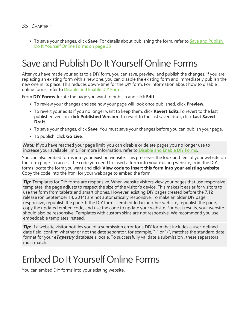• To save your changes, click **Save**. For details about publishing the form, refer to Save and [Publish](#page-34-0) Do It [Yourself](#page-34-0) Online Forms on page 35

# <span id="page-34-0"></span>Save and Publish Do It Yourself Online Forms

After you have made your edits to a DIY form, you can save, preview, and publish the changes. If you are replacing an existing form with a new one, you can disable the existing form and immediately publish the new one in its place. This reduces down-time for the DIY form. For information about how to disable online forms, refer to Disable and Enable [DIY Forms.](https://www.blackbaud.com/files/support/helpfiles/etapestry/etapestry/content/etapdisablewebform.html)

From **DIY Forms**, locate the page you want to publish and click **Edit**.

- To review your changes and see how your page will look once published, click **Preview**.
- To revert your edits if you no longer want to keep them, click **Revert Edits**.To revert to the last published version, click **Published Version**. To revert to the last saved draft, click **Last Saved Draft**.
- <sup>l</sup> To save your changes, click **Save**. You must save your changes before you can publish your page.
- <sup>l</sup> To publish, click **Go Live**.

*Note:* If you have reached your page limit, you can disable or delete pages you no longer use to increase your available limit. For more information, refer to Disable and Enable [DIY Forms](https://www.blackbaud.com/files/support/helpfiles/etapestry/etapestry/content/etapdisablewebform.html).

You can also embed forms into your existing website. This preserves the look and feel of your website on the form page. To access the code you need to insert a form into your existing website, from the DIY forms locate the form you want and click **View code to insert this form into your existing website**. Copy the code into the html for your webpage to embed the form.

*Tip:* Templates for DIY forms are responsive. When website visitors view your pages that use responsive templates, the page adjusts to respect the size of the visitor's device. This makes it easier for visitors to use the form from tablets and smart phones. However, existing DIY pages created before the 7.12 release (on September 14, 2014) are not automatically responsive. To make an older DIY page responsive, republish the page. If the DIY form is embedded in another website, republish the page, copy the updated embed code, and use the code to update your website. For best results, your website should also be responsive. Templates with custom skins are not responsive. We recommend you use embeddable templates instead.

*Tip***:** If a website visitor notifies you of a submission error for a DIY form that includes a user-defined date field, confirm whether or not the date separator, for example, "-" or "/", matches the standard date format for your *eTapestry* database's locale. To successfully validate a submission , these separators must match.

# <span id="page-34-1"></span>Embed Do It Yourself Online Forms

You can embed DIY forms into your existing website.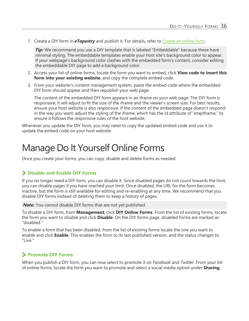1. Create a DIY form in *eTapestry* and publish it. For details, refer to [Create](https://www.blackbaud.com/files/support/helpfiles/etapestry/etapestry/content/tketapcreatewebform.html) an online form.

*Tip:* We recommend you use a DIY template that is labeled "Embeddable" because these have minimal styling. The embeddable templates enable your host site's background color to appear. If your webpage's background color clashes with the embedded form's content, consider editing the embeddable DIY page to add a background color.

- 2. Access your list of online forms, locate the form you want to embed, click **View code to insert this form into your existing website**, and copy the complete embed code.
- 3. From your website's content management system, paste the embed code where the embedded DIY form should appear and then republish your web page.

The content of the embedded DIY form appears in an iframe on your web page. The DIY form is responsive; it will adjust to fit the size of the iframe and the viewer's screen size. For best results, ensure your host website is also responsive. If the content of the embedded page doesn't respond in the way you want, adjust the styling of the iframe, which has the id attribute of "etapIframe," to ensure it follows the responsive rules of the host website.

<span id="page-35-0"></span>Whenever you update the DIY form, you may need to copy the updated embed code and use it to update the embed code on your host website.

### Manage Do It Yourself Online Forms

Once you create your forms, you can copy, disable and delete forms as needed.

#### **Disable and Enable DIY Forms**

If you no longer need a DIY form, you can disable it. Since disabled pages do not count towards the limit, you can disable pages if you have reached your limit. Once disabled, the URL for the form becomes inactive, but the form is still available for editing and re-enabling at any time. We recommend that you disable DIY forms instead of deleting them to keep a history of pages.

*Note:* You cannot disable DIY forms that are not yet published.

To disable a DIY form, from **Management**, click **DIY Online Forms**. From the list of existing forms, locate the form you want to disable and click **Disable**. On the DIY forms page, disabled forms are marked as "disabled."

To enable a form that has been disabled, from the list of existing forms locate the one you want to enable and click **Enable**. This enables the form to its last published version, and the status changes to "Live."

#### **Promote DIY Forms**

When you publish a DIY form, you can now select to promote it on *Facebook* and *Twitter*. From your list of online forms, locate the form you want to promote and select a social media option under **Sharing**.